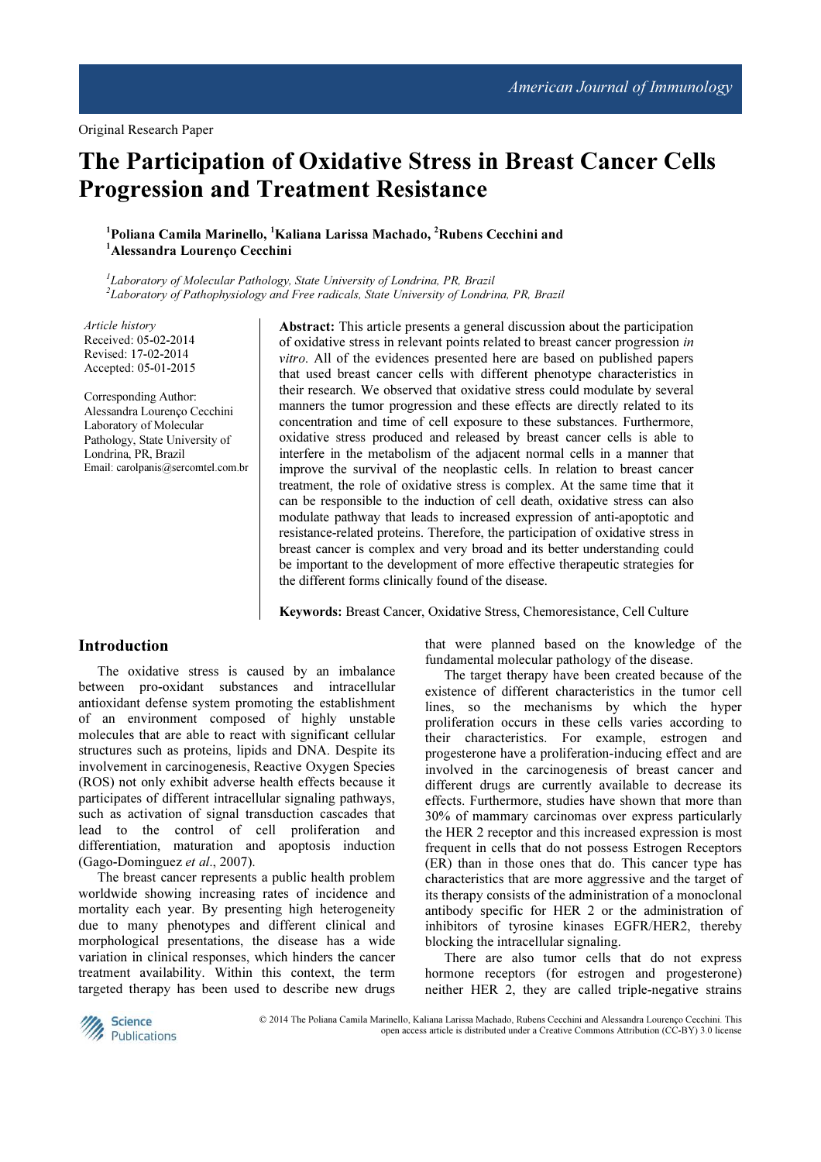# The Participation of Oxidative Stress in Breast Cancer Cells Progression and Treatment Resistance

### <sup>1</sup>Poliana Camila Marinello, <sup>1</sup>Kaliana Larissa Machado, <sup>2</sup>Rubens Cecchini and <sup>1</sup>Alessandra Lourenço Cecchini

<sup>1</sup>Laboratory of Molecular Pathology, State University of Londrina, PR, Brazil 2 Laboratory of Pathophysiology and Free radicals, State University of Londrina, PR, Brazil

Article history Received: 05-02-2014 Revised: 17-02-2014 Accepted: 05-01-2015

Corresponding Author: Alessandra Lourenço Cecchini Laboratory of Molecular Pathology, State University of Londrina, PR, Brazil Email: carolpanis@sercomtel.com.br

Abstract: This article presents a general discussion about the participation of oxidative stress in relevant points related to breast cancer progression in vitro. All of the evidences presented here are based on published papers that used breast cancer cells with different phenotype characteristics in their research. We observed that oxidative stress could modulate by several manners the tumor progression and these effects are directly related to its concentration and time of cell exposure to these substances. Furthermore, oxidative stress produced and released by breast cancer cells is able to interfere in the metabolism of the adjacent normal cells in a manner that improve the survival of the neoplastic cells. In relation to breast cancer treatment, the role of oxidative stress is complex. At the same time that it can be responsible to the induction of cell death, oxidative stress can also modulate pathway that leads to increased expression of anti-apoptotic and resistance-related proteins. Therefore, the participation of oxidative stress in breast cancer is complex and very broad and its better understanding could be important to the development of more effective therapeutic strategies for the different forms clinically found of the disease.

Keywords: Breast Cancer, Oxidative Stress, Chemoresistance, Cell Culture

### Introduction

The oxidative stress is caused by an imbalance between pro-oxidant substances and intracellular antioxidant defense system promoting the establishment of an environment composed of highly unstable molecules that are able to react with significant cellular structures such as proteins, lipids and DNA. Despite its involvement in carcinogenesis, Reactive Oxygen Species (ROS) not only exhibit adverse health effects because it participates of different intracellular signaling pathways, such as activation of signal transduction cascades that lead to the control of cell proliferation and differentiation, maturation and apoptosis induction (Gago-Dominguez et al., 2007).

The breast cancer represents a public health problem worldwide showing increasing rates of incidence and mortality each year. By presenting high heterogeneity due to many phenotypes and different clinical and morphological presentations, the disease has a wide variation in clinical responses, which hinders the cancer treatment availability. Within this context, the term targeted therapy has been used to describe new drugs

that were planned based on the knowledge of the fundamental molecular pathology of the disease.

The target therapy have been created because of the existence of different characteristics in the tumor cell lines, so the mechanisms by which the hyper proliferation occurs in these cells varies according to their characteristics. For example, estrogen and progesterone have a proliferation-inducing effect and are involved in the carcinogenesis of breast cancer and different drugs are currently available to decrease its effects. Furthermore, studies have shown that more than 30% of mammary carcinomas over express particularly the HER 2 receptor and this increased expression is most frequent in cells that do not possess Estrogen Receptors (ER) than in those ones that do. This cancer type has characteristics that are more aggressive and the target of its therapy consists of the administration of a monoclonal antibody specific for HER 2 or the administration of inhibitors of tyrosine kinases EGFR/HER2, thereby blocking the intracellular signaling.

There are also tumor cells that do not express hormone receptors (for estrogen and progesterone) neither HER 2, they are called triple-negative strains



 © 2014 The Poliana Camila Marinello, Kaliana Larissa Machado, Rubens Cecchini and Alessandra Lourenço Cecchini. This open access article is distributed under a Creative Commons Attribution (CC-BY) 3.0 license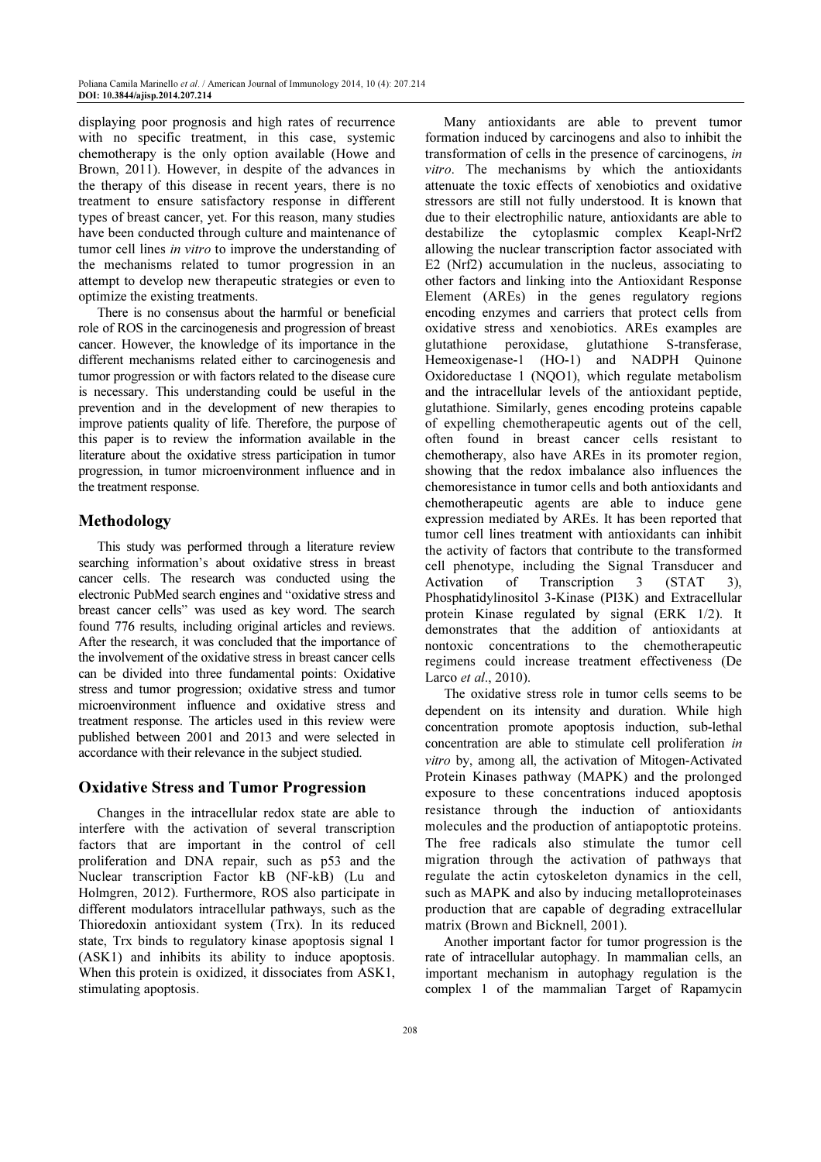displaying poor prognosis and high rates of recurrence with no specific treatment, in this case, systemic chemotherapy is the only option available (Howe and Brown, 2011). However, in despite of the advances in the therapy of this disease in recent years, there is no treatment to ensure satisfactory response in different types of breast cancer, yet. For this reason, many studies have been conducted through culture and maintenance of tumor cell lines in vitro to improve the understanding of the mechanisms related to tumor progression in an attempt to develop new therapeutic strategies or even to optimize the existing treatments.

There is no consensus about the harmful or beneficial role of ROS in the carcinogenesis and progression of breast cancer. However, the knowledge of its importance in the different mechanisms related either to carcinogenesis and tumor progression or with factors related to the disease cure is necessary. This understanding could be useful in the prevention and in the development of new therapies to improve patients quality of life. Therefore, the purpose of this paper is to review the information available in the literature about the oxidative stress participation in tumor progression, in tumor microenvironment influence and in the treatment response.

# Methodology

This study was performed through a literature review searching information's about oxidative stress in breast cancer cells. The research was conducted using the electronic PubMed search engines and "oxidative stress and breast cancer cells" was used as key word. The search found 776 results, including original articles and reviews. After the research, it was concluded that the importance of the involvement of the oxidative stress in breast cancer cells can be divided into three fundamental points: Oxidative stress and tumor progression; oxidative stress and tumor microenvironment influence and oxidative stress and treatment response. The articles used in this review were published between 2001 and 2013 and were selected in accordance with their relevance in the subject studied.

#### Oxidative Stress and Tumor Progression

Changes in the intracellular redox state are able to interfere with the activation of several transcription factors that are important in the control of cell proliferation and DNA repair, such as p53 and the Nuclear transcription Factor kB (NF-kB) (Lu and Holmgren, 2012). Furthermore, ROS also participate in different modulators intracellular pathways, such as the Thioredoxin antioxidant system (Trx). In its reduced state, Trx binds to regulatory kinase apoptosis signal 1 (ASK1) and inhibits its ability to induce apoptosis. When this protein is oxidized, it dissociates from ASK1, stimulating apoptosis.

Many antioxidants are able to prevent tumor formation induced by carcinogens and also to inhibit the transformation of cells in the presence of carcinogens, in vitro. The mechanisms by which the antioxidants attenuate the toxic effects of xenobiotics and oxidative stressors are still not fully understood. It is known that due to their electrophilic nature, antioxidants are able to destabilize the cytoplasmic complex Keapl-Nrf2 allowing the nuclear transcription factor associated with E2 (Nrf2) accumulation in the nucleus, associating to other factors and linking into the Antioxidant Response Element (AREs) in the genes regulatory regions encoding enzymes and carriers that protect cells from oxidative stress and xenobiotics. AREs examples are glutathione peroxidase, glutathione S-transferase, Hemeoxigenase-1 (HO-1) and NADPH Quinone Oxidoreductase 1 (NQO1), which regulate metabolism and the intracellular levels of the antioxidant peptide, glutathione. Similarly, genes encoding proteins capable of expelling chemotherapeutic agents out of the cell, often found in breast cancer cells resistant to chemotherapy, also have AREs in its promoter region, showing that the redox imbalance also influences the chemoresistance in tumor cells and both antioxidants and chemotherapeutic agents are able to induce gene expression mediated by AREs. It has been reported that tumor cell lines treatment with antioxidants can inhibit the activity of factors that contribute to the transformed cell phenotype, including the Signal Transducer and Activation of Transcription 3 (STAT 3), Phosphatidylinositol 3-Kinase (PI3K) and Extracellular protein Kinase regulated by signal (ERK 1/2). It demonstrates that the addition of antioxidants at nontoxic concentrations to the chemotherapeutic regimens could increase treatment effectiveness (De Larco et al., 2010).

The oxidative stress role in tumor cells seems to be dependent on its intensity and duration. While high concentration promote apoptosis induction, sub-lethal concentration are able to stimulate cell proliferation in vitro by, among all, the activation of Mitogen-Activated Protein Kinases pathway (MAPK) and the prolonged exposure to these concentrations induced apoptosis resistance through the induction of antioxidants molecules and the production of antiapoptotic proteins. The free radicals also stimulate the tumor cell migration through the activation of pathways that regulate the actin cytoskeleton dynamics in the cell, such as MAPK and also by inducing metalloproteinases production that are capable of degrading extracellular matrix (Brown and Bicknell, 2001).

Another important factor for tumor progression is the rate of intracellular autophagy. In mammalian cells, an important mechanism in autophagy regulation is the complex 1 of the mammalian Target of Rapamycin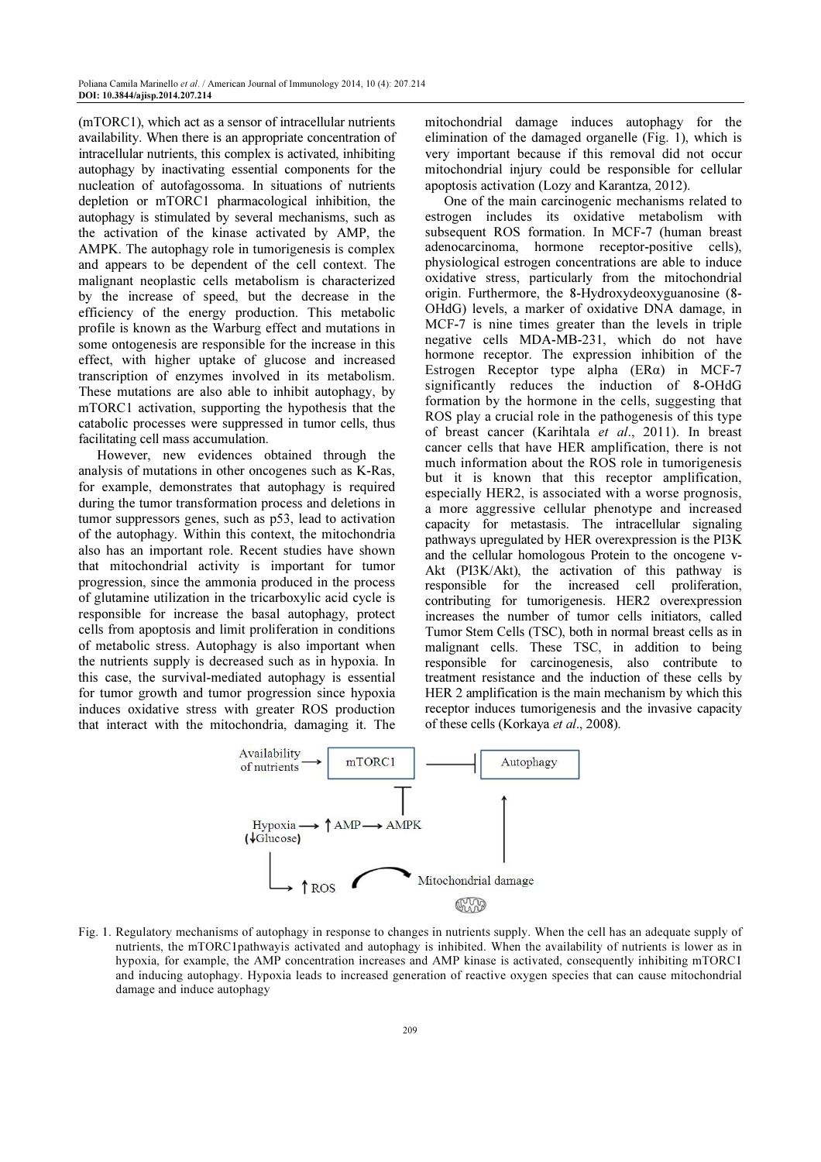(mTORC1), which act as a sensor of intracellular nutrients availability. When there is an appropriate concentration of intracellular nutrients, this complex is activated, inhibiting autophagy by inactivating essential components for the nucleation of autofagossoma. In situations of nutrients depletion or mTORC1 pharmacological inhibition, the autophagy is stimulated by several mechanisms, such as the activation of the kinase activated by AMP, the AMPK. The autophagy role in tumorigenesis is complex and appears to be dependent of the cell context. The malignant neoplastic cells metabolism is characterized by the increase of speed, but the decrease in the efficiency of the energy production. This metabolic profile is known as the Warburg effect and mutations in some ontogenesis are responsible for the increase in this effect, with higher uptake of glucose and increased transcription of enzymes involved in its metabolism. These mutations are also able to inhibit autophagy, by mTORC1 activation, supporting the hypothesis that the catabolic processes were suppressed in tumor cells, thus facilitating cell mass accumulation.

However, new evidences obtained through the analysis of mutations in other oncogenes such as K-Ras, for example, demonstrates that autophagy is required during the tumor transformation process and deletions in tumor suppressors genes, such as p53, lead to activation of the autophagy. Within this context, the mitochondria also has an important role. Recent studies have shown that mitochondrial activity is important for tumor progression, since the ammonia produced in the process of glutamine utilization in the tricarboxylic acid cycle is responsible for increase the basal autophagy, protect cells from apoptosis and limit proliferation in conditions of metabolic stress. Autophagy is also important when the nutrients supply is decreased such as in hypoxia. In this case, the survival-mediated autophagy is essential for tumor growth and tumor progression since hypoxia induces oxidative stress with greater ROS production that interact with the mitochondria, damaging it. The

mitochondrial damage induces autophagy for the elimination of the damaged organelle (Fig. 1), which is very important because if this removal did not occur mitochondrial injury could be responsible for cellular apoptosis activation (Lozy and Karantza, 2012).

One of the main carcinogenic mechanisms related to estrogen includes its oxidative metabolism with subsequent ROS formation. In MCF-7 (human breast adenocarcinoma, hormone receptor-positive cells), physiological estrogen concentrations are able to induce oxidative stress, particularly from the mitochondrial origin. Furthermore, the 8-Hydroxydeoxyguanosine (8- OHdG) levels, a marker of oxidative DNA damage, in MCF-7 is nine times greater than the levels in triple negative cells MDA-MB-231, which do not have hormone receptor. The expression inhibition of the Estrogen Receptor type alpha (ERα) in MCF-7 significantly reduces the induction of 8-OHdG formation by the hormone in the cells, suggesting that ROS play a crucial role in the pathogenesis of this type of breast cancer (Karihtala et al., 2011). In breast cancer cells that have HER amplification, there is not much information about the ROS role in tumorigenesis but it is known that this receptor amplification, especially HER2, is associated with a worse prognosis, a more aggressive cellular phenotype and increased capacity for metastasis. The intracellular signaling pathways upregulated by HER overexpression is the PI3K and the cellular homologous Protein to the oncogene v-Akt (PI3K/Akt), the activation of this pathway is responsible for the increased cell proliferation, contributing for tumorigenesis. HER2 overexpression increases the number of tumor cells initiators, called Tumor Stem Cells (TSC), both in normal breast cells as in malignant cells. These TSC, in addition to being responsible for carcinogenesis, also contribute to treatment resistance and the induction of these cells by HER 2 amplification is the main mechanism by which this receptor induces tumorigenesis and the invasive capacity of these cells (Korkaya et al., 2008).



Fig. 1. Regulatory mechanisms of autophagy in response to changes in nutrients supply. When the cell has an adequate supply of nutrients, the mTORC1pathwayis activated and autophagy is inhibited. When the availability of nutrients is lower as in hypoxia, for example, the AMP concentration increases and AMP kinase is activated, consequently inhibiting mTORC1 and inducing autophagy. Hypoxia leads to increased generation of reactive oxygen species that can cause mitochondrial damage and induce autophagy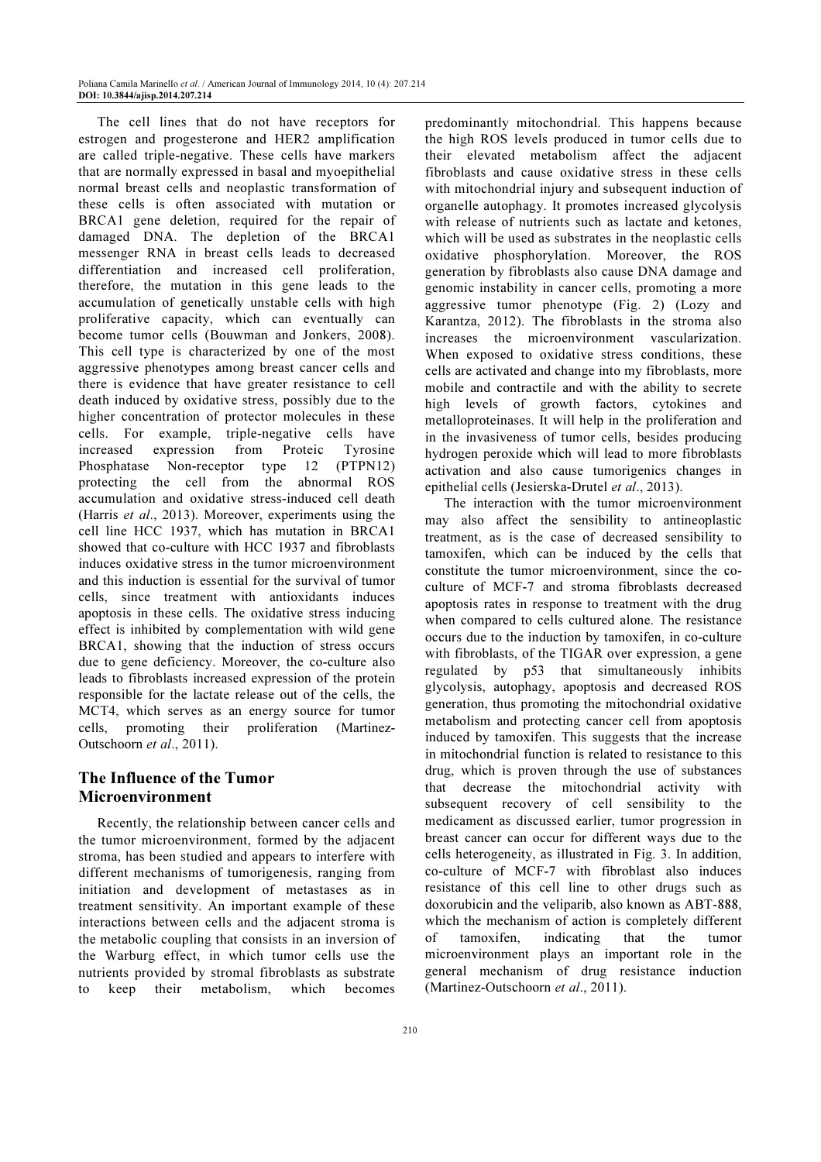The cell lines that do not have receptors for estrogen and progesterone and HER2 amplification are called triple-negative. These cells have markers that are normally expressed in basal and myoepithelial normal breast cells and neoplastic transformation of these cells is often associated with mutation or BRCA1 gene deletion, required for the repair of damaged DNA. The depletion of the BRCA1 messenger RNA in breast cells leads to decreased differentiation and increased cell proliferation, therefore, the mutation in this gene leads to the accumulation of genetically unstable cells with high proliferative capacity, which can eventually can become tumor cells (Bouwman and Jonkers, 2008). This cell type is characterized by one of the most aggressive phenotypes among breast cancer cells and there is evidence that have greater resistance to cell death induced by oxidative stress, possibly due to the higher concentration of protector molecules in these cells. For example, triple-negative cells have increased expression from Proteic Tyrosine Phosphatase Non-receptor type 12 (PTPN12) protecting the cell from the abnormal ROS accumulation and oxidative stress-induced cell death (Harris et al., 2013). Moreover, experiments using the cell line HCC 1937, which has mutation in BRCA1 showed that co-culture with HCC 1937 and fibroblasts induces oxidative stress in the tumor microenvironment and this induction is essential for the survival of tumor cells, since treatment with antioxidants induces apoptosis in these cells. The oxidative stress inducing effect is inhibited by complementation with wild gene BRCA1, showing that the induction of stress occurs due to gene deficiency. Moreover, the co-culture also leads to fibroblasts increased expression of the protein responsible for the lactate release out of the cells, the MCT4, which serves as an energy source for tumor cells, promoting their proliferation (Martinez-Outschoorn et al., 2011).

# The Influence of the Tumor Microenvironment

Recently, the relationship between cancer cells and the tumor microenvironment, formed by the adjacent stroma, has been studied and appears to interfere with different mechanisms of tumorigenesis, ranging from initiation and development of metastases as in treatment sensitivity. An important example of these interactions between cells and the adjacent stroma is the metabolic coupling that consists in an inversion of the Warburg effect, in which tumor cells use the nutrients provided by stromal fibroblasts as substrate to keep their metabolism, which becomes

predominantly mitochondrial. This happens because the high ROS levels produced in tumor cells due to their elevated metabolism affect the adjacent fibroblasts and cause oxidative stress in these cells with mitochondrial injury and subsequent induction of organelle autophagy. It promotes increased glycolysis with release of nutrients such as lactate and ketones, which will be used as substrates in the neoplastic cells oxidative phosphorylation. Moreover, the ROS generation by fibroblasts also cause DNA damage and genomic instability in cancer cells, promoting a more aggressive tumor phenotype (Fig. 2) (Lozy and Karantza, 2012). The fibroblasts in the stroma also increases the microenvironment vascularization. When exposed to oxidative stress conditions, these cells are activated and change into my fibroblasts, more mobile and contractile and with the ability to secrete high levels of growth factors, cytokines and metalloproteinases. It will help in the proliferation and in the invasiveness of tumor cells, besides producing hydrogen peroxide which will lead to more fibroblasts activation and also cause tumorigenics changes in epithelial cells (Jesierska-Drutel et al., 2013).

The interaction with the tumor microenvironment may also affect the sensibility to antineoplastic treatment, as is the case of decreased sensibility to tamoxifen, which can be induced by the cells that constitute the tumor microenvironment, since the coculture of MCF-7 and stroma fibroblasts decreased apoptosis rates in response to treatment with the drug when compared to cells cultured alone. The resistance occurs due to the induction by tamoxifen, in co-culture with fibroblasts, of the TIGAR over expression, a gene regulated by p53 that simultaneously inhibits glycolysis, autophagy, apoptosis and decreased ROS generation, thus promoting the mitochondrial oxidative metabolism and protecting cancer cell from apoptosis induced by tamoxifen. This suggests that the increase in mitochondrial function is related to resistance to this drug, which is proven through the use of substances that decrease the mitochondrial activity with subsequent recovery of cell sensibility to the medicament as discussed earlier, tumor progression in breast cancer can occur for different ways due to the cells heterogeneity, as illustrated in Fig. 3. In addition, co-culture of MCF-7 with fibroblast also induces resistance of this cell line to other drugs such as doxorubicin and the veliparib, also known as ABT-888, which the mechanism of action is completely different of tamoxifen, indicating that the tumor microenvironment plays an important role in the general mechanism of drug resistance induction (Martinez-Outschoorn et al., 2011).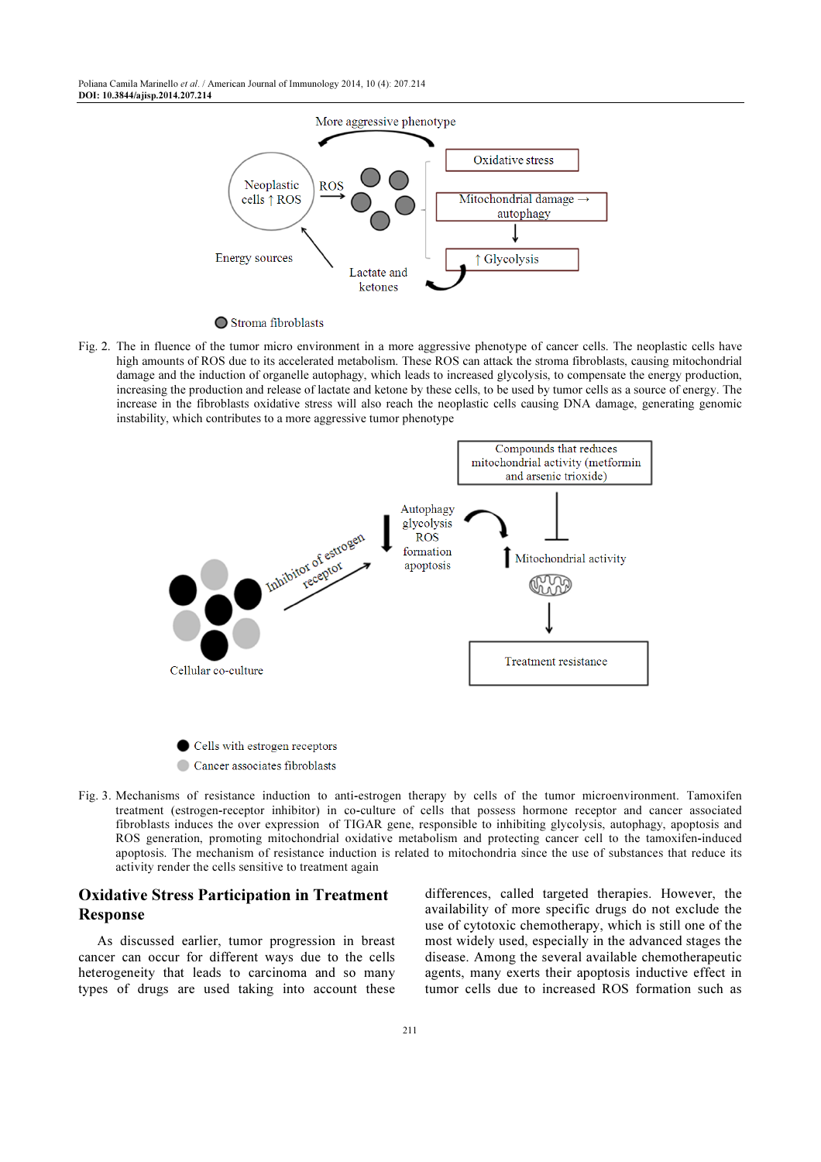Poliana Camila Marinello et al. / American Journal of Immunology 2014, 10 (4): 207.214 DOI: 10.3844/ajisp.2014.207.214



◯ Stroma fibroblasts

Fig. 2. The in fluence of the tumor micro environment in a more aggressive phenotype of cancer cells. The neoplastic cells have high amounts of ROS due to its accelerated metabolism. These ROS can attack the stroma fibroblasts, causing mitochondrial damage and the induction of organelle autophagy, which leads to increased glycolysis, to compensate the energy production, increasing the production and release of lactate and ketone by these cells, to be used by tumor cells as a source of energy. The increase in the fibroblasts oxidative stress will also reach the neoplastic cells causing DNA damage, generating genomic instability, which contributes to a more aggressive tumor phenotype



Cells with estrogen receptors Cancer associates fibroblasts

Fig. 3. Mechanisms of resistance induction to anti-estrogen therapy by cells of the tumor microenvironment. Tamoxifen treatment (estrogen-receptor inhibitor) in co-culture of cells that possess hormone receptor and cancer associated fibroblasts induces the over expression of TIGAR gene, responsible to inhibiting glycolysis, autophagy, apoptosis and ROS generation, promoting mitochondrial oxidative metabolism and protecting cancer cell to the tamoxifen-induced apoptosis. The mechanism of resistance induction is related to mitochondria since the use of substances that reduce its activity render the cells sensitive to treatment again

## Oxidative Stress Participation in Treatment Response

As discussed earlier, tumor progression in breast cancer can occur for different ways due to the cells heterogeneity that leads to carcinoma and so many types of drugs are used taking into account these differences, called targeted therapies. However, the availability of more specific drugs do not exclude the use of cytotoxic chemotherapy, which is still one of the most widely used, especially in the advanced stages the disease. Among the several available chemotherapeutic agents, many exerts their apoptosis inductive effect in tumor cells due to increased ROS formation such as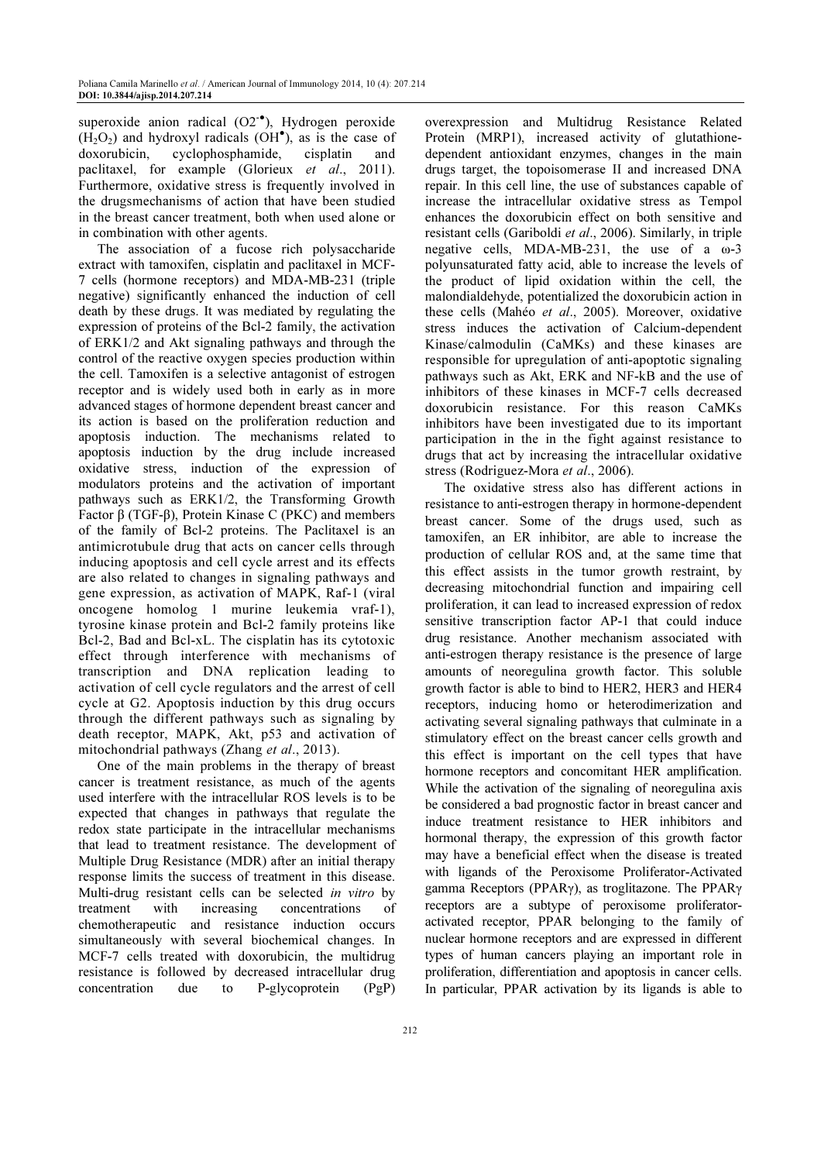superoxide anion radical  $(O2^{-\bullet})$ , Hydrogen peroxide  $(H_2O_2)$  and hydroxyl radicals  $(OH^{\bullet})$ , as is the case of doxorubicin, cyclophosphamide, cisplatin and paclitaxel, for example (Glorieux et al., 2011). Furthermore, oxidative stress is frequently involved in the drugsmechanisms of action that have been studied in the breast cancer treatment, both when used alone or in combination with other agents.

The association of a fucose rich polysaccharide extract with tamoxifen, cisplatin and paclitaxel in MCF-7 cells (hormone receptors) and MDA-MB-231 (triple negative) significantly enhanced the induction of cell death by these drugs. It was mediated by regulating the expression of proteins of the Bcl-2 family, the activation of ERK1/2 and Akt signaling pathways and through the control of the reactive oxygen species production within the cell. Tamoxifen is a selective antagonist of estrogen receptor and is widely used both in early as in more advanced stages of hormone dependent breast cancer and its action is based on the proliferation reduction and apoptosis induction. The mechanisms related to apoptosis induction by the drug include increased oxidative stress, induction of the expression of modulators proteins and the activation of important pathways such as ERK1/2, the Transforming Growth Factor β (TGF-β), Protein Kinase C (PKC) and members of the family of Bcl-2 proteins. The Paclitaxel is an antimicrotubule drug that acts on cancer cells through inducing apoptosis and cell cycle arrest and its effects are also related to changes in signaling pathways and gene expression, as activation of MAPK, Raf-1 (viral oncogene homolog 1 murine leukemia vraf-1), tyrosine kinase protein and Bcl-2 family proteins like Bcl-2, Bad and Bcl-xL. The cisplatin has its cytotoxic effect through interference with mechanisms of transcription and DNA replication leading to activation of cell cycle regulators and the arrest of cell cycle at G2. Apoptosis induction by this drug occurs through the different pathways such as signaling by death receptor, MAPK, Akt, p53 and activation of mitochondrial pathways (Zhang et al., 2013).

One of the main problems in the therapy of breast cancer is treatment resistance, as much of the agents used interfere with the intracellular ROS levels is to be expected that changes in pathways that regulate the redox state participate in the intracellular mechanisms that lead to treatment resistance. The development of Multiple Drug Resistance (MDR) after an initial therapy response limits the success of treatment in this disease. Multi-drug resistant cells can be selected in vitro by treatment with increasing concentrations of chemotherapeutic and resistance induction occurs simultaneously with several biochemical changes. In MCF-7 cells treated with doxorubicin, the multidrug resistance is followed by decreased intracellular drug concentration due to P-glycoprotein (PgP)

overexpression and Multidrug Resistance Related Protein (MRP1), increased activity of glutathionedependent antioxidant enzymes, changes in the main drugs target, the topoisomerase II and increased DNA repair. In this cell line, the use of substances capable of increase the intracellular oxidative stress as Tempol enhances the doxorubicin effect on both sensitive and resistant cells (Gariboldi et al., 2006). Similarly, in triple negative cells, MDA-MB-231, the use of a ω-3 polyunsaturated fatty acid, able to increase the levels of the product of lipid oxidation within the cell, the malondialdehyde, potentialized the doxorubicin action in these cells (Mahéo et al., 2005). Moreover, oxidative stress induces the activation of Calcium-dependent Kinase/calmodulin (CaMKs) and these kinases are responsible for upregulation of anti-apoptotic signaling pathways such as Akt, ERK and NF-kB and the use of inhibitors of these kinases in MCF-7 cells decreased doxorubicin resistance. For this reason CaMKs inhibitors have been investigated due to its important participation in the in the fight against resistance to drugs that act by increasing the intracellular oxidative stress (Rodriguez-Mora et al., 2006).

The oxidative stress also has different actions in resistance to anti-estrogen therapy in hormone-dependent breast cancer. Some of the drugs used, such as tamoxifen, an ER inhibitor, are able to increase the production of cellular ROS and, at the same time that this effect assists in the tumor growth restraint, by decreasing mitochondrial function and impairing cell proliferation, it can lead to increased expression of redox sensitive transcription factor AP-1 that could induce drug resistance. Another mechanism associated with anti-estrogen therapy resistance is the presence of large amounts of neoregulina growth factor. This soluble growth factor is able to bind to HER2, HER3 and HER4 receptors, inducing homo or heterodimerization and activating several signaling pathways that culminate in a stimulatory effect on the breast cancer cells growth and this effect is important on the cell types that have hormone receptors and concomitant HER amplification. While the activation of the signaling of neoregulina axis be considered a bad prognostic factor in breast cancer and induce treatment resistance to HER inhibitors and hormonal therapy, the expression of this growth factor may have a beneficial effect when the disease is treated with ligands of the Peroxisome Proliferator-Activated gamma Receptors (PPARγ), as troglitazone. The PPARγ receptors are a subtype of peroxisome proliferatoractivated receptor, PPAR belonging to the family of nuclear hormone receptors and are expressed in different types of human cancers playing an important role in proliferation, differentiation and apoptosis in cancer cells. In particular, PPAR activation by its ligands is able to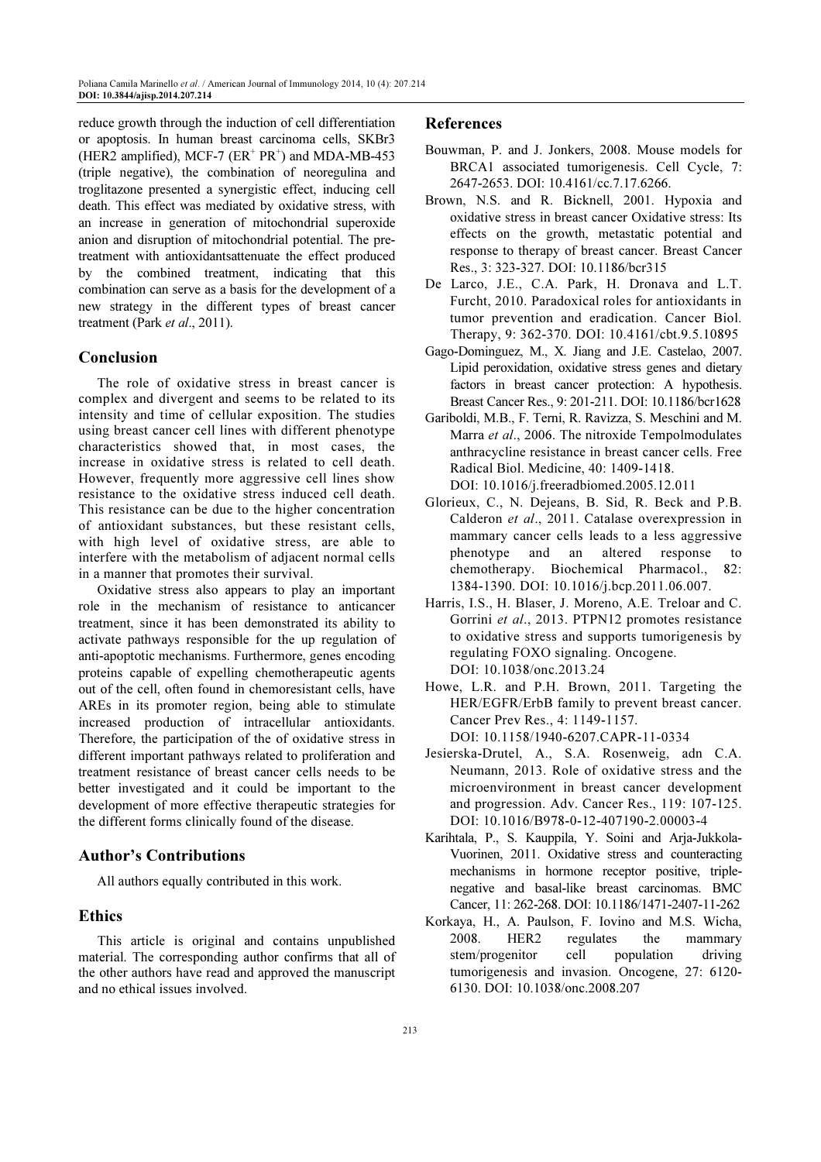reduce growth through the induction of cell differentiation or apoptosis. In human breast carcinoma cells, SKBr3 (HER2 amplified), MCF-7  $(ER^+ PR^+)$  and MDA-MB-453 (triple negative), the combination of neoregulina and troglitazone presented a synergistic effect, inducing cell death. This effect was mediated by oxidative stress, with an increase in generation of mitochondrial superoxide anion and disruption of mitochondrial potential. The pretreatment with antioxidantsattenuate the effect produced by the combined treatment, indicating that this combination can serve as a basis for the development of a new strategy in the different types of breast cancer treatment (Park et al., 2011).

#### Conclusion

The role of oxidative stress in breast cancer is complex and divergent and seems to be related to its intensity and time of cellular exposition. The studies using breast cancer cell lines with different phenotype characteristics showed that, in most cases, the increase in oxidative stress is related to cell death. However, frequently more aggressive cell lines show resistance to the oxidative stress induced cell death. This resistance can be due to the higher concentration of antioxidant substances, but these resistant cells, with high level of oxidative stress, are able to interfere with the metabolism of adjacent normal cells in a manner that promotes their survival.

Oxidative stress also appears to play an important role in the mechanism of resistance to anticancer treatment, since it has been demonstrated its ability to activate pathways responsible for the up regulation of anti-apoptotic mechanisms. Furthermore, genes encoding proteins capable of expelling chemotherapeutic agents out of the cell, often found in chemoresistant cells, have AREs in its promoter region, being able to stimulate increased production of intracellular antioxidants. Therefore, the participation of the of oxidative stress in different important pathways related to proliferation and treatment resistance of breast cancer cells needs to be better investigated and it could be important to the development of more effective therapeutic strategies for the different forms clinically found of the disease.

# Author's Contributions

All authors equally contributed in this work.

# Ethics

This article is original and contains unpublished material. The corresponding author confirms that all of the other authors have read and approved the manuscript and no ethical issues involved.

#### References

- Bouwman, P. and J. Jonkers, 2008. Mouse models for BRCA1 associated tumorigenesis. Cell Cycle, 7: 2647-2653. DOI: 10.4161/cc.7.17.6266.
- Brown, N.S. and R. Bicknell, 2001. Hypoxia and oxidative stress in breast cancer Oxidative stress: Its effects on the growth, metastatic potential and response to therapy of breast cancer. Breast Cancer Res., 3: 323-327. DOI: 10.1186/bcr315
- De Larco, J.E., C.A. Park, H. Dronava and L.T. Furcht, 2010. Paradoxical roles for antioxidants in tumor prevention and eradication. Cancer Biol. Therapy, 9: 362-370. DOI: 10.4161/cbt.9.5.10895
- Gago-Dominguez, M., X. Jiang and J.E. Castelao, 2007. Lipid peroxidation, oxidative stress genes and dietary factors in breast cancer protection: A hypothesis. Breast Cancer Res., 9: 201-211. DOI: 10.1186/bcr1628
- Gariboldi, M.B., F. Terni, R. Ravizza, S. Meschini and M. Marra et al., 2006. The nitroxide Tempolmodulates anthracycline resistance in breast cancer cells. Free Radical Biol. Medicine, 40: 1409-1418. DOI: 10.1016/j.freeradbiomed.2005.12.011
- Glorieux, C., N. Dejeans, B. Sid, R. Beck and P.B. Calderon et al., 2011. Catalase overexpression in mammary cancer cells leads to a less aggressive phenotype and an altered response to chemotherapy. Biochemical Pharmacol., 82: 1384-1390. DOI: 10.1016/j.bcp.2011.06.007.
- Harris, I.S., H. Blaser, J. Moreno, A.E. Treloar and C. Gorrini et al., 2013. PTPN12 promotes resistance to oxidative stress and supports tumorigenesis by regulating FOXO signaling. Oncogene. DOI: 10.1038/onc.2013.24
- Howe, L.R. and P.H. Brown, 2011. Targeting the HER/EGFR/ErbB family to prevent breast cancer. Cancer Prev Res., 4: 1149-1157. DOI: 10.1158/1940-6207.CAPR-11-0334
- Jesierska-Drutel, A., S.A. Rosenweig, adn C.A. Neumann, 2013. Role of oxidative stress and the microenvironment in breast cancer development and progression. Adv. Cancer Res., 119: 107-125. DOI: 10.1016/B978-0-12-407190-2.00003-4
- Karihtala, P., S. Kauppila, Y. Soini and Arja-Jukkola-Vuorinen, 2011. Oxidative stress and counteracting mechanisms in hormone receptor positive, triplenegative and basal-like breast carcinomas. BMC Cancer, 11: 262-268. DOI: 10.1186/1471-2407-11-262
- Korkaya, H., A. Paulson, F. Iovino and M.S. Wicha, 2008. HER2 regulates the mammary stem/progenitor cell population driving tumorigenesis and invasion. Oncogene, 27: 6120- 6130. DOI: 10.1038/onc.2008.207